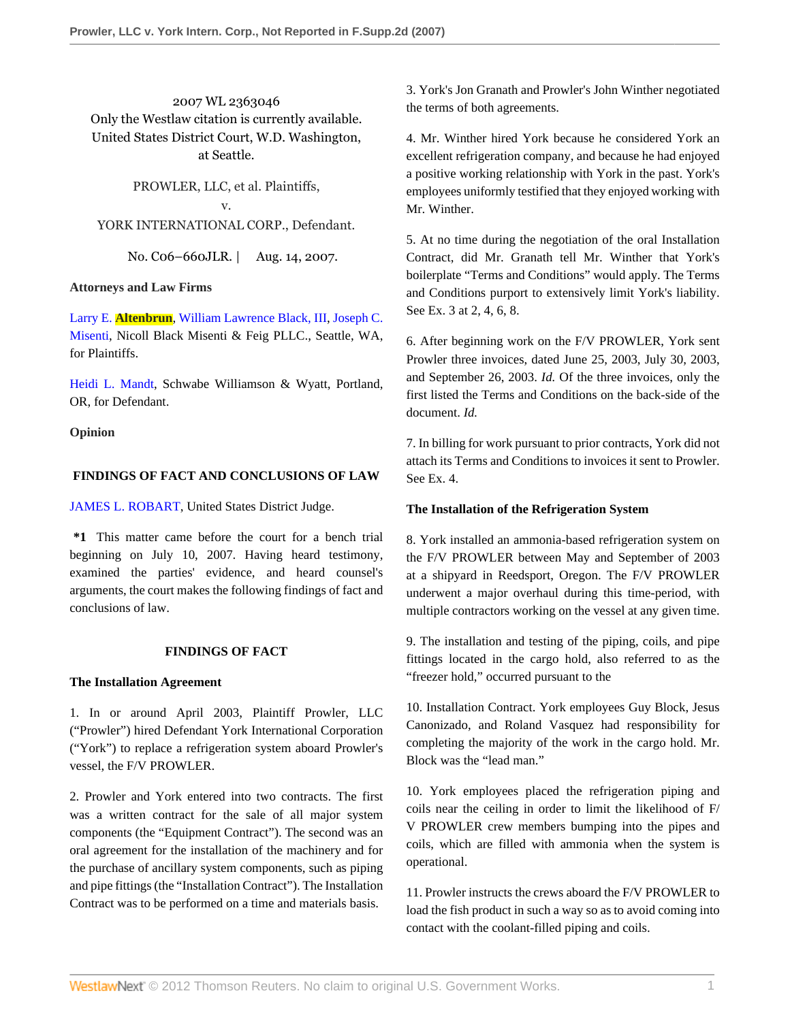2007 WL 2363046 Only the Westlaw citation is currently available. United States District Court, W.D. Washington, at Seattle.

PROWLER, LLC, et al. Plaintiffs, v. YORK INTERNATIONAL CORP., Defendant.

No. C06–660JLR. | Aug. 14, 2007.

## **Attorneys and Law Firms**

Larry E. **[Altenbrun](http://www.westlaw.com/Link/Document/FullText?findType=h&pubNum=176284&cite=0329178501&originatingDoc=I5d96a50c4fde11dcbd4c839f532b53c5&refType=RQ&originationContext=document&vr=3.0&rs=cblt1.0&transitionType=DocumentItem&contextData=(sc.Search))**, [William Lawrence Black, III,](http://www.westlaw.com/Link/Document/FullText?findType=h&pubNum=176284&cite=0342875401&originatingDoc=I5d96a50c4fde11dcbd4c839f532b53c5&refType=RQ&originationContext=document&vr=3.0&rs=cblt1.0&transitionType=DocumentItem&contextData=(sc.Search)) [Joseph C.](http://www.westlaw.com/Link/Document/FullText?findType=h&pubNum=176284&cite=0329184901&originatingDoc=I5d96a50c4fde11dcbd4c839f532b53c5&refType=RQ&originationContext=document&vr=3.0&rs=cblt1.0&transitionType=DocumentItem&contextData=(sc.Search)) [Misenti,](http://www.westlaw.com/Link/Document/FullText?findType=h&pubNum=176284&cite=0329184901&originatingDoc=I5d96a50c4fde11dcbd4c839f532b53c5&refType=RQ&originationContext=document&vr=3.0&rs=cblt1.0&transitionType=DocumentItem&contextData=(sc.Search)) Nicoll Black Misenti & Feig PLLC., Seattle, WA, for Plaintiffs.

[Heidi L. Mandt](http://www.westlaw.com/Link/Document/FullText?findType=h&pubNum=176284&cite=0135972801&originatingDoc=I5d96a50c4fde11dcbd4c839f532b53c5&refType=RQ&originationContext=document&vr=3.0&rs=cblt1.0&transitionType=DocumentItem&contextData=(sc.Search)), Schwabe Williamson & Wyatt, Portland, OR, for Defendant.

**Opinion**

## **FINDINGS OF FACT AND CONCLUSIONS OF LAW**

## [JAMES L. ROBART,](http://www.westlaw.com/Link/Document/FullText?findType=h&pubNum=176284&cite=0181380101&originatingDoc=I5d96a50c4fde11dcbd4c839f532b53c5&refType=RQ&originationContext=document&vr=3.0&rs=cblt1.0&transitionType=DocumentItem&contextData=(sc.Search)) United States District Judge.

**\*1** This matter came before the court for a bench trial beginning on July 10, 2007. Having heard testimony, examined the parties' evidence, and heard counsel's arguments, the court makes the following findings of fact and conclusions of law.

## **FINDINGS OF FACT**

## **The Installation Agreement**

1. In or around April 2003, Plaintiff Prowler, LLC ("Prowler") hired Defendant York International Corporation ("York") to replace a refrigeration system aboard Prowler's vessel, the F/V PROWLER.

2. Prowler and York entered into two contracts. The first was a written contract for the sale of all major system components (the "Equipment Contract"). The second was an oral agreement for the installation of the machinery and for the purchase of ancillary system components, such as piping and pipe fittings (the "Installation Contract"). The Installation Contract was to be performed on a time and materials basis.

3. York's Jon Granath and Prowler's John Winther negotiated the terms of both agreements.

4. Mr. Winther hired York because he considered York an excellent refrigeration company, and because he had enjoyed a positive working relationship with York in the past. York's employees uniformly testified that they enjoyed working with Mr. Winther.

5. At no time during the negotiation of the oral Installation Contract, did Mr. Granath tell Mr. Winther that York's boilerplate "Terms and Conditions" would apply. The Terms and Conditions purport to extensively limit York's liability. See Ex. 3 at 2, 4, 6, 8.

6. After beginning work on the F/V PROWLER, York sent Prowler three invoices, dated June 25, 2003, July 30, 2003, and September 26, 2003. *Id.* Of the three invoices, only the first listed the Terms and Conditions on the back-side of the document. *Id.*

7. In billing for work pursuant to prior contracts, York did not attach its Terms and Conditions to invoices it sent to Prowler. See Ex. 4.

# **The Installation of the Refrigeration System**

8. York installed an ammonia-based refrigeration system on the F/V PROWLER between May and September of 2003 at a shipyard in Reedsport, Oregon. The F/V PROWLER underwent a major overhaul during this time-period, with multiple contractors working on the vessel at any given time.

9. The installation and testing of the piping, coils, and pipe fittings located in the cargo hold, also referred to as the "freezer hold," occurred pursuant to the

10. Installation Contract. York employees Guy Block, Jesus Canonizado, and Roland Vasquez had responsibility for completing the majority of the work in the cargo hold. Mr. Block was the "lead man."

10. York employees placed the refrigeration piping and coils near the ceiling in order to limit the likelihood of F/ V PROWLER crew members bumping into the pipes and coils, which are filled with ammonia when the system is operational.

11. Prowler instructs the crews aboard the F/V PROWLER to load the fish product in such a way so as to avoid coming into contact with the coolant-filled piping and coils.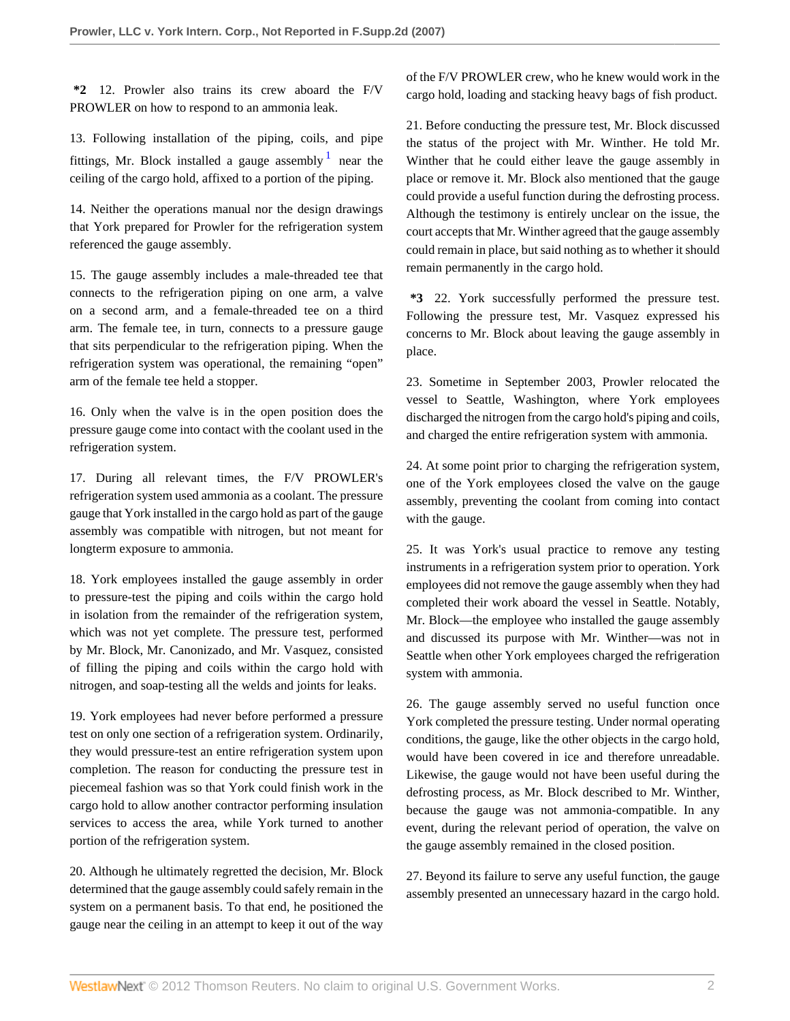**\*2** 12. Prowler also trains its crew aboard the F/V PROWLER on how to respond to an ammonia leak.

13. Following installation of the piping, coils, and pipe fittings, Mr. Block installed a gauge assembly  $1$  near the ceiling of the cargo hold, affixed to a portion of the piping.

14. Neither the operations manual nor the design drawings that York prepared for Prowler for the refrigeration system referenced the gauge assembly.

15. The gauge assembly includes a male-threaded tee that connects to the refrigeration piping on one arm, a valve on a second arm, and a female-threaded tee on a third arm. The female tee, in turn, connects to a pressure gauge that sits perpendicular to the refrigeration piping. When the refrigeration system was operational, the remaining "open" arm of the female tee held a stopper.

16. Only when the valve is in the open position does the pressure gauge come into contact with the coolant used in the refrigeration system.

17. During all relevant times, the F/V PROWLER's refrigeration system used ammonia as a coolant. The pressure gauge that York installed in the cargo hold as part of the gauge assembly was compatible with nitrogen, but not meant for longterm exposure to ammonia.

18. York employees installed the gauge assembly in order to pressure-test the piping and coils within the cargo hold in isolation from the remainder of the refrigeration system, which was not yet complete. The pressure test, performed by Mr. Block, Mr. Canonizado, and Mr. Vasquez, consisted of filling the piping and coils within the cargo hold with nitrogen, and soap-testing all the welds and joints for leaks.

19. York employees had never before performed a pressure test on only one section of a refrigeration system. Ordinarily, they would pressure-test an entire refrigeration system upon completion. The reason for conducting the pressure test in piecemeal fashion was so that York could finish work in the cargo hold to allow another contractor performing insulation services to access the area, while York turned to another portion of the refrigeration system.

20. Although he ultimately regretted the decision, Mr. Block determined that the gauge assembly could safely remain in the system on a permanent basis. To that end, he positioned the gauge near the ceiling in an attempt to keep it out of the way

of the F/V PROWLER crew, who he knew would work in the cargo hold, loading and stacking heavy bags of fish product.

<span id="page-1-0"></span>21. Before conducting the pressure test, Mr. Block discussed the status of the project with Mr. Winther. He told Mr. Winther that he could either leave the gauge assembly in place or remove it. Mr. Block also mentioned that the gauge could provide a useful function during the defrosting process. Although the testimony is entirely unclear on the issue, the court accepts that Mr. Winther agreed that the gauge assembly could remain in place, but said nothing as to whether it should remain permanently in the cargo hold.

**\*3** 22. York successfully performed the pressure test. Following the pressure test, Mr. Vasquez expressed his concerns to Mr. Block about leaving the gauge assembly in place.

23. Sometime in September 2003, Prowler relocated the vessel to Seattle, Washington, where York employees discharged the nitrogen from the cargo hold's piping and coils, and charged the entire refrigeration system with ammonia.

24. At some point prior to charging the refrigeration system, one of the York employees closed the valve on the gauge assembly, preventing the coolant from coming into contact with the gauge.

25. It was York's usual practice to remove any testing instruments in a refrigeration system prior to operation. York employees did not remove the gauge assembly when they had completed their work aboard the vessel in Seattle. Notably, Mr. Block—the employee who installed the gauge assembly and discussed its purpose with Mr. Winther—was not in Seattle when other York employees charged the refrigeration system with ammonia.

26. The gauge assembly served no useful function once York completed the pressure testing. Under normal operating conditions, the gauge, like the other objects in the cargo hold, would have been covered in ice and therefore unreadable. Likewise, the gauge would not have been useful during the defrosting process, as Mr. Block described to Mr. Winther, because the gauge was not ammonia-compatible. In any event, during the relevant period of operation, the valve on the gauge assembly remained in the closed position.

27. Beyond its failure to serve any useful function, the gauge assembly presented an unnecessary hazard in the cargo hold.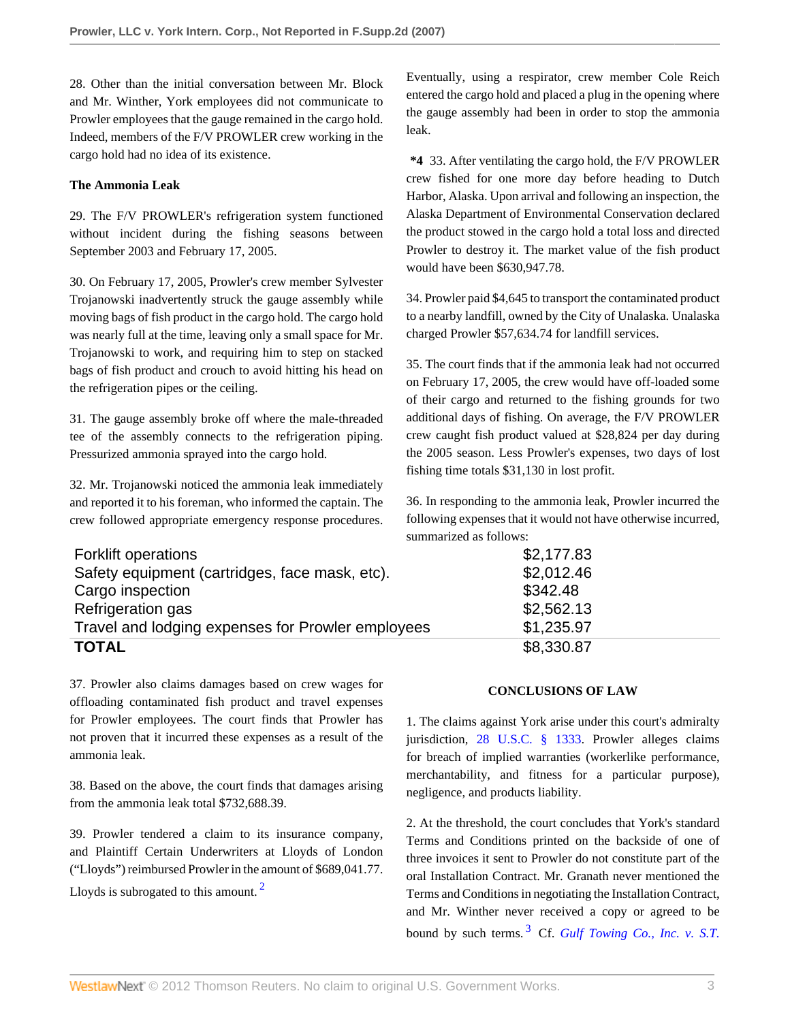28. Other than the initial conversation between Mr. Block and Mr. Winther, York employees did not communicate to Prowler employees that the gauge remained in the cargo hold. Indeed, members of the F/V PROWLER crew working in the cargo hold had no idea of its existence.

## **The Ammonia Leak**

29. The F/V PROWLER's refrigeration system functioned without incident during the fishing seasons between September 2003 and February 17, 2005.

30. On February 17, 2005, Prowler's crew member Sylvester Trojanowski inadvertently struck the gauge assembly while moving bags of fish product in the cargo hold. The cargo hold was nearly full at the time, leaving only a small space for Mr. Trojanowski to work, and requiring him to step on stacked bags of fish product and crouch to avoid hitting his head on the refrigeration pipes or the ceiling.

31. The gauge assembly broke off where the male-threaded tee of the assembly connects to the refrigeration piping. Pressurized ammonia sprayed into the cargo hold.

32. Mr. Trojanowski noticed the ammonia leak immediately and reported it to his foreman, who informed the captain. The crew followed appropriate emergency response procedures. Eventually, using a respirator, crew member Cole Reich entered the cargo hold and placed a plug in the opening where the gauge assembly had been in order to stop the ammonia leak.

**\*4** 33. After ventilating the cargo hold, the F/V PROWLER crew fished for one more day before heading to Dutch Harbor, Alaska. Upon arrival and following an inspection, the Alaska Department of Environmental Conservation declared the product stowed in the cargo hold a total loss and directed Prowler to destroy it. The market value of the fish product would have been \$630,947.78.

34. Prowler paid \$4,645 to transport the contaminated product to a nearby landfill, owned by the City of Unalaska. Unalaska charged Prowler \$57,634.74 for landfill services.

35. The court finds that if the ammonia leak had not occurred on February 17, 2005, the crew would have off-loaded some of their cargo and returned to the fishing grounds for two additional days of fishing. On average, the F/V PROWLER crew caught fish product valued at \$28,824 per day during the 2005 season. Less Prowler's expenses, two days of lost fishing time totals \$31,130 in lost profit.

36. In responding to the ammonia leak, Prowler incurred the following expenses that it would not have otherwise incurred, summarized as follows:

| <b>Forklift operations</b>                        | \$2,177.83 |
|---------------------------------------------------|------------|
| Safety equipment (cartridges, face mask, etc).    | \$2,012.46 |
| Cargo inspection                                  | \$342.48   |
| Refrigeration gas                                 | \$2,562.13 |
| Travel and lodging expenses for Prowler employees | \$1,235.97 |
| <b>TOTAL</b>                                      | \$8,330.87 |

37. Prowler also claims damages based on crew wages for offloading contaminated fish product and travel expenses for Prowler employees. The court finds that Prowler has not proven that it incurred these expenses as a result of the ammonia leak.

38. Based on the above, the court finds that damages arising from the ammonia leak total \$732,688.39.

39. Prowler tendered a claim to its insurance company, and Plaintiff Certain Underwriters at Lloyds of London ("Lloyds") reimbursed Prowler in the amount of \$689,041.77. Lloyds is subrogated to this amount.<sup>[2](#page-5-1)</sup>

## **CONCLUSIONS OF LAW**

1. The claims against York arise under this court's admiralty jurisdiction, [28 U.S.C. § 1333.](http://www.westlaw.com/Link/Document/FullText?findType=L&pubNum=1000546&cite=28USCAS1333&originatingDoc=I5d96a50c4fde11dcbd4c839f532b53c5&refType=LQ&originationContext=document&vr=3.0&rs=cblt1.0&transitionType=DocumentItem&contextData=(sc.Search)) Prowler alleges claims for breach of implied warranties (workerlike performance, merchantability, and fitness for a particular purpose), negligence, and products liability.

<span id="page-2-1"></span><span id="page-2-0"></span>2. At the threshold, the court concludes that York's standard Terms and Conditions printed on the backside of one of three invoices it sent to Prowler do not constitute part of the oral Installation Contract. Mr. Granath never mentioned the Terms and Conditions in negotiating the Installation Contract, and Mr. Winther never received a copy or agreed to be bound by such terms. [3](#page-5-2) Cf. *[Gulf Towing Co., Inc. v. S.T.](http://www.westlaw.com/Link/Document/FullText?findType=Y&serNum=1981123117&pubNum=350&originationContext=document&vr=3.0&rs=cblt1.0&transitionType=DocumentItem&contextData=(sc.Search))*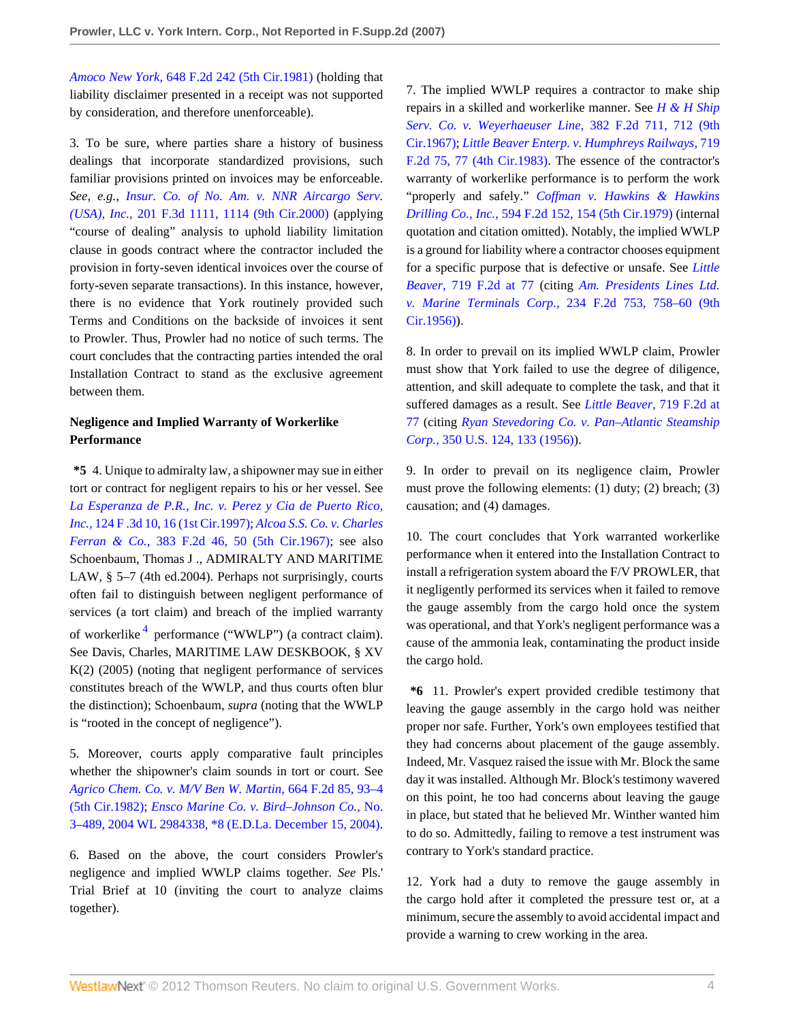*Amoco New York,* [648 F.2d 242 \(5th Cir.1981\)](http://www.westlaw.com/Link/Document/FullText?findType=Y&serNum=1981123117&pubNum=350&originationContext=document&vr=3.0&rs=cblt1.0&transitionType=DocumentItem&contextData=(sc.Search)) (holding that liability disclaimer presented in a receipt was not supported by consideration, and therefore unenforceable).

3. To be sure, where parties share a history of business dealings that incorporate standardized provisions, such familiar provisions printed on invoices may be enforceable. *See, e.g., [Insur. Co. of No. Am. v. NNR Aircargo Serv.](http://www.westlaw.com/Link/Document/FullText?findType=Y&serNum=2000047320&pubNum=506&originationContext=document&vr=3.0&rs=cblt1.0&transitionType=DocumentItem&contextData=(sc.Search)#co_pp_sp_506_1114) (USA), Inc.,* [201 F.3d 1111, 1114 \(9th Cir.2000\)](http://www.westlaw.com/Link/Document/FullText?findType=Y&serNum=2000047320&pubNum=506&originationContext=document&vr=3.0&rs=cblt1.0&transitionType=DocumentItem&contextData=(sc.Search)#co_pp_sp_506_1114) (applying "course of dealing" analysis to uphold liability limitation clause in goods contract where the contractor included the provision in forty-seven identical invoices over the course of forty-seven separate transactions). In this instance, however, there is no evidence that York routinely provided such Terms and Conditions on the backside of invoices it sent to Prowler. Thus, Prowler had no notice of such terms. The court concludes that the contracting parties intended the oral Installation Contract to stand as the exclusive agreement between them.

## **Negligence and Implied Warranty of Workerlike Performance**

**\*5** 4. Unique to admiralty law, a shipowner may sue in either tort or contract for negligent repairs to his or her vessel. See *[La Esperanza de P.R., Inc. v. Perez y Cia de Puerto Rico,](http://www.westlaw.com/Link/Document/FullText?findType=Y&serNum=1997166531&pubNum=506&originationContext=document&vr=3.0&rs=cblt1.0&transitionType=DocumentItem&contextData=(sc.Search)#co_pp_sp_506_16) Inc.,* [124 F .3d 10, 16 \(1st Cir.1997\);](http://www.westlaw.com/Link/Document/FullText?findType=Y&serNum=1997166531&pubNum=506&originationContext=document&vr=3.0&rs=cblt1.0&transitionType=DocumentItem&contextData=(sc.Search)#co_pp_sp_506_16) *[Alcoa S.S. Co. v. Charles](http://www.westlaw.com/Link/Document/FullText?findType=Y&serNum=1967117999&pubNum=350&originationContext=document&vr=3.0&rs=cblt1.0&transitionType=DocumentItem&contextData=(sc.Search)#co_pp_sp_350_50) Ferran & Co.,* [383 F.2d 46, 50 \(5th Cir.1967\);](http://www.westlaw.com/Link/Document/FullText?findType=Y&serNum=1967117999&pubNum=350&originationContext=document&vr=3.0&rs=cblt1.0&transitionType=DocumentItem&contextData=(sc.Search)#co_pp_sp_350_50) see also Schoenbaum, Thomas J ., ADMIRALTY AND MARITIME LAW, § 5–7 (4th ed.2004). Perhaps not surprisingly, courts often fail to distinguish between negligent performance of services (a tort claim) and breach of the implied warranty of workerlike<sup>[4](#page-6-0)</sup> performance ("WWLP") (a contract claim). See Davis, Charles, MARITIME LAW DESKBOOK, § XV K(2) (2005) (noting that negligent performance of services constitutes breach of the WWLP, and thus courts often blur the distinction); Schoenbaum, *supra* (noting that the WWLP is "rooted in the concept of negligence").

<span id="page-3-0"></span>5. Moreover, courts apply comparative fault principles whether the shipowner's claim sounds in tort or court. See *[Agrico Chem. Co. v. M/V Ben W. Martin,](http://www.westlaw.com/Link/Document/FullText?findType=Y&serNum=1981150026&pubNum=350&originationContext=document&vr=3.0&rs=cblt1.0&transitionType=DocumentItem&contextData=(sc.Search)#co_pp_sp_350_93)* 664 F.2d 85, 93–4 [\(5th Cir.1982\);](http://www.westlaw.com/Link/Document/FullText?findType=Y&serNum=1981150026&pubNum=350&originationContext=document&vr=3.0&rs=cblt1.0&transitionType=DocumentItem&contextData=(sc.Search)#co_pp_sp_350_93) *[Ensco Marine Co. v. Bird–Johnson Co.,](http://www.westlaw.com/Link/Document/FullText?findType=Y&serNum=2005843380&pubNum=0000999&originationContext=document&vr=3.0&rs=cblt1.0&transitionType=DocumentItem&contextData=(sc.Search))* No. [3–489, 2004 WL 2984338, \\*8 \(E.D.La. December 15, 2004\)](http://www.westlaw.com/Link/Document/FullText?findType=Y&serNum=2005843380&pubNum=0000999&originationContext=document&vr=3.0&rs=cblt1.0&transitionType=DocumentItem&contextData=(sc.Search)).

6. Based on the above, the court considers Prowler's negligence and implied WWLP claims together. *See* Pls.' Trial Brief at 10 (inviting the court to analyze claims together).

7. The implied WWLP requires a contractor to make ship repairs in a skilled and workerlike manner. See *[H & H Ship](http://www.westlaw.com/Link/Document/FullText?findType=Y&serNum=1967117924&pubNum=350&originationContext=document&vr=3.0&rs=cblt1.0&transitionType=DocumentItem&contextData=(sc.Search)#co_pp_sp_350_712) [Serv. Co. v. Weyerhaeuser Line,](http://www.westlaw.com/Link/Document/FullText?findType=Y&serNum=1967117924&pubNum=350&originationContext=document&vr=3.0&rs=cblt1.0&transitionType=DocumentItem&contextData=(sc.Search)#co_pp_sp_350_712)* 382 F.2d 711, 712 (9th [Cir.1967\);](http://www.westlaw.com/Link/Document/FullText?findType=Y&serNum=1967117924&pubNum=350&originationContext=document&vr=3.0&rs=cblt1.0&transitionType=DocumentItem&contextData=(sc.Search)#co_pp_sp_350_712) *[Little Beaver Enterp. v. Humphreys Railways,](http://www.westlaw.com/Link/Document/FullText?findType=Y&serNum=1983146023&pubNum=350&originationContext=document&vr=3.0&rs=cblt1.0&transitionType=DocumentItem&contextData=(sc.Search)#co_pp_sp_350_77)* 719 [F.2d 75, 77 \(4th Cir.1983\).](http://www.westlaw.com/Link/Document/FullText?findType=Y&serNum=1983146023&pubNum=350&originationContext=document&vr=3.0&rs=cblt1.0&transitionType=DocumentItem&contextData=(sc.Search)#co_pp_sp_350_77) The essence of the contractor's warranty of workerlike performance is to perform the work "properly and safely." *[Coffman v. Hawkins & Hawkins](http://www.westlaw.com/Link/Document/FullText?findType=Y&serNum=1979112055&pubNum=350&originationContext=document&vr=3.0&rs=cblt1.0&transitionType=DocumentItem&contextData=(sc.Search)#co_pp_sp_350_154) Drilling Co., Inc.,* [594 F.2d 152, 154 \(5th Cir.1979\)](http://www.westlaw.com/Link/Document/FullText?findType=Y&serNum=1979112055&pubNum=350&originationContext=document&vr=3.0&rs=cblt1.0&transitionType=DocumentItem&contextData=(sc.Search)#co_pp_sp_350_154) (internal quotation and citation omitted). Notably, the implied WWLP is a ground for liability where a contractor chooses equipment for a specific purpose that is defective or unsafe. See *[Little](http://www.westlaw.com/Link/Document/FullText?findType=Y&serNum=1983146023&pubNum=350&originationContext=document&vr=3.0&rs=cblt1.0&transitionType=DocumentItem&contextData=(sc.Search)#co_pp_sp_350_77) Beaver,* [719 F.2d at 77](http://www.westlaw.com/Link/Document/FullText?findType=Y&serNum=1983146023&pubNum=350&originationContext=document&vr=3.0&rs=cblt1.0&transitionType=DocumentItem&contextData=(sc.Search)#co_pp_sp_350_77) (citing *[Am. Presidents Lines Ltd.](http://www.westlaw.com/Link/Document/FullText?findType=Y&serNum=1956116950&pubNum=350&originationContext=document&vr=3.0&rs=cblt1.0&transitionType=DocumentItem&contextData=(sc.Search)#co_pp_sp_350_758) v. Marine Terminals Corp.,* [234 F.2d 753, 758–60 \(9th](http://www.westlaw.com/Link/Document/FullText?findType=Y&serNum=1956116950&pubNum=350&originationContext=document&vr=3.0&rs=cblt1.0&transitionType=DocumentItem&contextData=(sc.Search)#co_pp_sp_350_758) [Cir.1956\)\)](http://www.westlaw.com/Link/Document/FullText?findType=Y&serNum=1956116950&pubNum=350&originationContext=document&vr=3.0&rs=cblt1.0&transitionType=DocumentItem&contextData=(sc.Search)#co_pp_sp_350_758).

8. In order to prevail on its implied WWLP claim, Prowler must show that York failed to use the degree of diligence, attention, and skill adequate to complete the task, and that it suffered damages as a result. See *[Little Beaver,](http://www.westlaw.com/Link/Document/FullText?findType=Y&serNum=1983146023&pubNum=350&originationContext=document&vr=3.0&rs=cblt1.0&transitionType=DocumentItem&contextData=(sc.Search)#co_pp_sp_350_77)* 719 F.2d at [77](http://www.westlaw.com/Link/Document/FullText?findType=Y&serNum=1983146023&pubNum=350&originationContext=document&vr=3.0&rs=cblt1.0&transitionType=DocumentItem&contextData=(sc.Search)#co_pp_sp_350_77) (citing *[Ryan Stevedoring Co. v. Pan–Atlantic Steamship](http://www.westlaw.com/Link/Document/FullText?findType=Y&serNum=1955122488&pubNum=780&originationContext=document&vr=3.0&rs=cblt1.0&transitionType=DocumentItem&contextData=(sc.Search)#co_pp_sp_780_133) Corp.,* [350 U.S. 124, 133 \(1956\)](http://www.westlaw.com/Link/Document/FullText?findType=Y&serNum=1955122488&pubNum=780&originationContext=document&vr=3.0&rs=cblt1.0&transitionType=DocumentItem&contextData=(sc.Search)#co_pp_sp_780_133)).

9. In order to prevail on its negligence claim, Prowler must prove the following elements: (1) duty; (2) breach; (3) causation; and (4) damages.

10. The court concludes that York warranted workerlike performance when it entered into the Installation Contract to install a refrigeration system aboard the F/V PROWLER, that it negligently performed its services when it failed to remove the gauge assembly from the cargo hold once the system was operational, and that York's negligent performance was a cause of the ammonia leak, contaminating the product inside the cargo hold.

**\*6** 11. Prowler's expert provided credible testimony that leaving the gauge assembly in the cargo hold was neither proper nor safe. Further, York's own employees testified that they had concerns about placement of the gauge assembly. Indeed, Mr. Vasquez raised the issue with Mr. Block the same day it was installed. Although Mr. Block's testimony wavered on this point, he too had concerns about leaving the gauge in place, but stated that he believed Mr. Winther wanted him to do so. Admittedly, failing to remove a test instrument was contrary to York's standard practice.

12. York had a duty to remove the gauge assembly in the cargo hold after it completed the pressure test or, at a minimum, secure the assembly to avoid accidental impact and provide a warning to crew working in the area.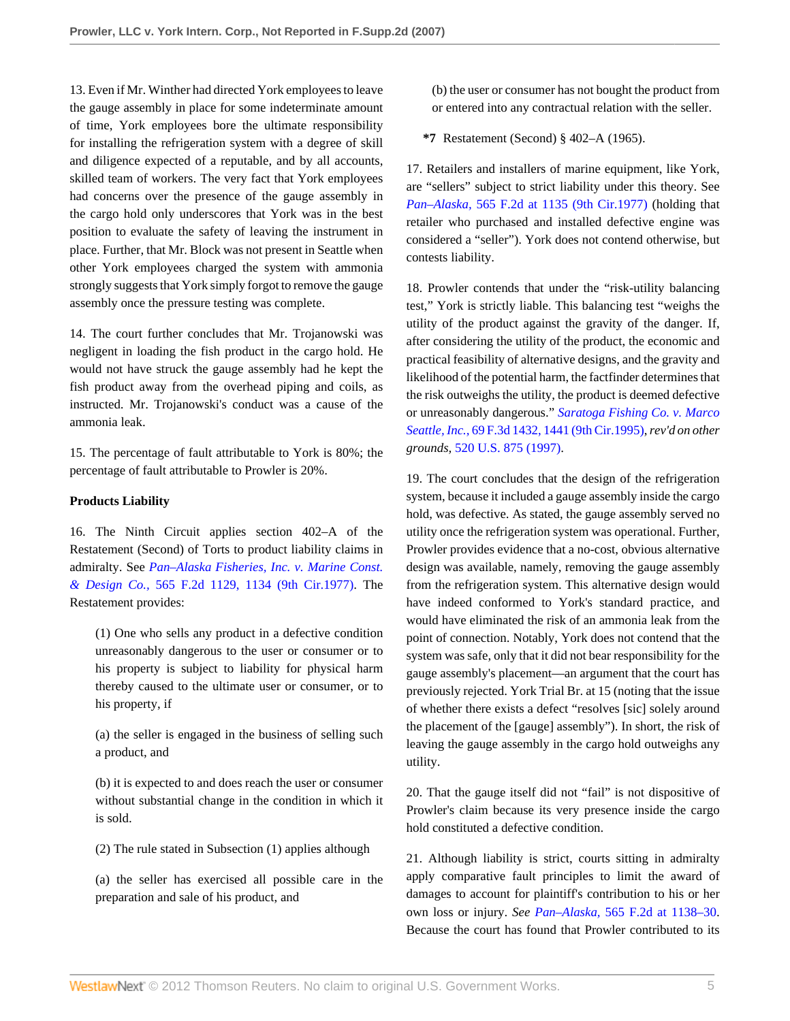13. Even if Mr. Winther had directed York employees to leave the gauge assembly in place for some indeterminate amount of time, York employees bore the ultimate responsibility for installing the refrigeration system with a degree of skill and diligence expected of a reputable, and by all accounts, skilled team of workers. The very fact that York employees had concerns over the presence of the gauge assembly in the cargo hold only underscores that York was in the best position to evaluate the safety of leaving the instrument in place. Further, that Mr. Block was not present in Seattle when other York employees charged the system with ammonia strongly suggests that York simply forgot to remove the gauge assembly once the pressure testing was complete.

14. The court further concludes that Mr. Trojanowski was negligent in loading the fish product in the cargo hold. He would not have struck the gauge assembly had he kept the fish product away from the overhead piping and coils, as instructed. Mr. Trojanowski's conduct was a cause of the ammonia leak.

15. The percentage of fault attributable to York is 80%; the percentage of fault attributable to Prowler is 20%.

#### **Products Liability**

16. The Ninth Circuit applies section 402–A of the Restatement (Second) of Torts to product liability claims in admiralty. See *[Pan–Alaska Fisheries, Inc. v. Marine Const.](http://www.westlaw.com/Link/Document/FullText?findType=Y&serNum=1977124535&pubNum=350&originationContext=document&vr=3.0&rs=cblt1.0&transitionType=DocumentItem&contextData=(sc.Search)#co_pp_sp_350_1134) & Design Co.,* [565 F.2d 1129, 1134 \(9th Cir.1977\)](http://www.westlaw.com/Link/Document/FullText?findType=Y&serNum=1977124535&pubNum=350&originationContext=document&vr=3.0&rs=cblt1.0&transitionType=DocumentItem&contextData=(sc.Search)#co_pp_sp_350_1134). The Restatement provides:

(1) One who sells any product in a defective condition unreasonably dangerous to the user or consumer or to his property is subject to liability for physical harm thereby caused to the ultimate user or consumer, or to his property, if

(a) the seller is engaged in the business of selling such a product, and

(b) it is expected to and does reach the user or consumer without substantial change in the condition in which it is sold.

(2) The rule stated in Subsection (1) applies although

(a) the seller has exercised all possible care in the preparation and sale of his product, and

(b) the user or consumer has not bought the product from or entered into any contractual relation with the seller.

**\*7** Restatement (Second) § 402–A (1965).

17. Retailers and installers of marine equipment, like York, are "sellers" subject to strict liability under this theory. See *Pan–Alaska,* [565 F.2d at 1135 \(9th Cir.1977\)](http://www.westlaw.com/Link/Document/FullText?findType=Y&serNum=1977124535&pubNum=350&originationContext=document&vr=3.0&rs=cblt1.0&transitionType=DocumentItem&contextData=(sc.Search)#co_pp_sp_350_1135) (holding that retailer who purchased and installed defective engine was considered a "seller"). York does not contend otherwise, but contests liability.

18. Prowler contends that under the "risk-utility balancing test," York is strictly liable. This balancing test "weighs the utility of the product against the gravity of the danger. If, after considering the utility of the product, the economic and practical feasibility of alternative designs, and the gravity and likelihood of the potential harm, the factfinder determines that the risk outweighs the utility, the product is deemed defective or unreasonably dangerous." *[Saratoga Fishing Co. v. Marco](http://www.westlaw.com/Link/Document/FullText?findType=Y&serNum=1995214595&pubNum=506&originationContext=document&vr=3.0&rs=cblt1.0&transitionType=DocumentItem&contextData=(sc.Search)#co_pp_sp_506_1441) Seattle, Inc.,* [69 F.3d 1432, 1441 \(9th Cir.1995\)](http://www.westlaw.com/Link/Document/FullText?findType=Y&serNum=1995214595&pubNum=506&originationContext=document&vr=3.0&rs=cblt1.0&transitionType=DocumentItem&contextData=(sc.Search)#co_pp_sp_506_1441), *rev'd on other grounds,* [520 U.S. 875 \(1997\).](http://www.westlaw.com/Link/Document/FullText?findType=Y&serNum=1997118977&pubNum=780&originationContext=document&vr=3.0&rs=cblt1.0&transitionType=DocumentItem&contextData=(sc.Search))

19. The court concludes that the design of the refrigeration system, because it included a gauge assembly inside the cargo hold, was defective. As stated, the gauge assembly served no utility once the refrigeration system was operational. Further, Prowler provides evidence that a no-cost, obvious alternative design was available, namely, removing the gauge assembly from the refrigeration system. This alternative design would have indeed conformed to York's standard practice, and would have eliminated the risk of an ammonia leak from the point of connection. Notably, York does not contend that the system was safe, only that it did not bear responsibility for the gauge assembly's placement—an argument that the court has previously rejected. York Trial Br. at 15 (noting that the issue of whether there exists a defect "resolves [sic] solely around the placement of the [gauge] assembly"). In short, the risk of leaving the gauge assembly in the cargo hold outweighs any utility.

20. That the gauge itself did not "fail" is not dispositive of Prowler's claim because its very presence inside the cargo hold constituted a defective condition.

21. Although liability is strict, courts sitting in admiralty apply comparative fault principles to limit the award of damages to account for plaintiff's contribution to his or her own loss or injury. *See Pan–Alaska,* [565 F.2d at 1138–30](http://www.westlaw.com/Link/Document/FullText?findType=Y&serNum=1977124535&pubNum=350&originationContext=document&vr=3.0&rs=cblt1.0&transitionType=DocumentItem&contextData=(sc.Search)#co_pp_sp_350_1138). Because the court has found that Prowler contributed to its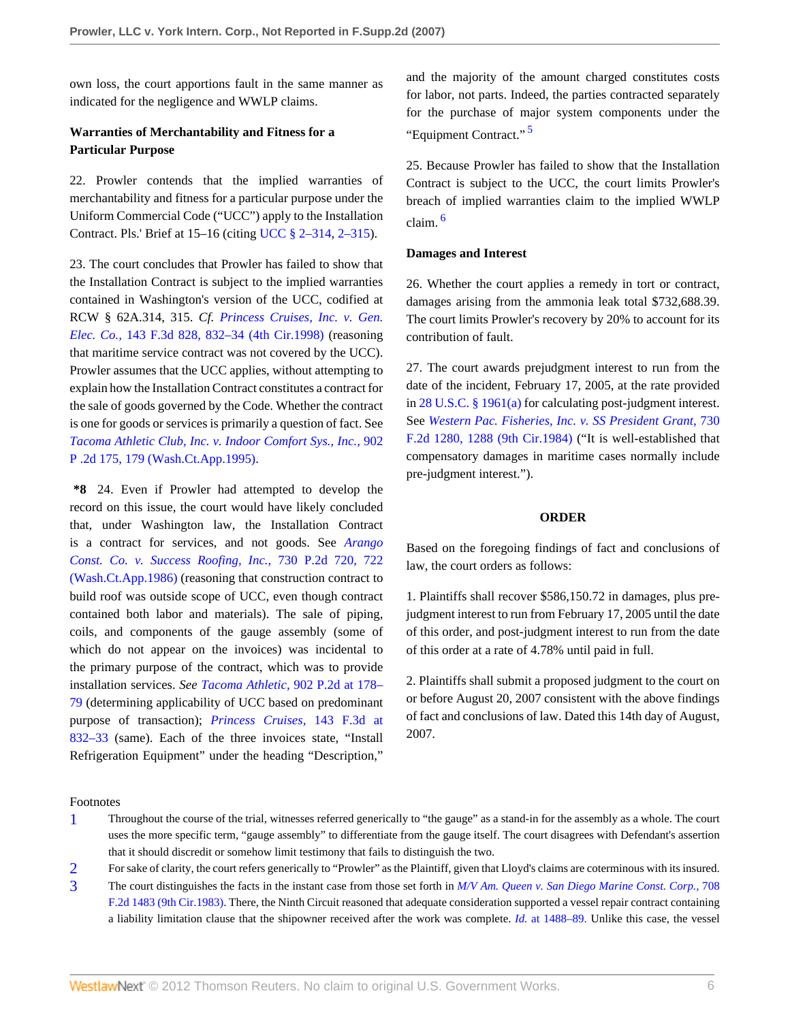own loss, the court apportions fault in the same manner as indicated for the negligence and WWLP claims.

## **Warranties of Merchantability and Fitness for a Particular Purpose**

22. Prowler contends that the implied warranties of merchantability and fitness for a particular purpose under the Uniform Commercial Code ("UCC") apply to the Installation Contract. Pls.' Brief at 15–16 (citing [UCC § 2–314,](http://www.westlaw.com/Link/Document/FullText?findType=L&pubNum=1002112&cite=ULUCCS2-314&originatingDoc=I5d96a50c4fde11dcbd4c839f532b53c5&refType=LQ&originationContext=document&vr=3.0&rs=cblt1.0&transitionType=DocumentItem&contextData=(sc.Search)) [2–315\)](http://www.westlaw.com/Link/Document/FullText?findType=L&pubNum=1002112&cite=ULUCCS2-315&originatingDoc=I5d96a50c4fde11dcbd4c839f532b53c5&refType=LQ&originationContext=document&vr=3.0&rs=cblt1.0&transitionType=DocumentItem&contextData=(sc.Search)).

23. The court concludes that Prowler has failed to show that the Installation Contract is subject to the implied warranties contained in Washington's version of the UCC, codified at RCW § 62A.314, 315. *Cf. [Princess Cruises, Inc. v. Gen.](http://www.westlaw.com/Link/Document/FullText?findType=Y&serNum=1998103826&pubNum=506&originationContext=document&vr=3.0&rs=cblt1.0&transitionType=DocumentItem&contextData=(sc.Search)#co_pp_sp_506_832) Elec. Co.,* [143 F.3d 828, 832–34 \(4th Cir.1998\)](http://www.westlaw.com/Link/Document/FullText?findType=Y&serNum=1998103826&pubNum=506&originationContext=document&vr=3.0&rs=cblt1.0&transitionType=DocumentItem&contextData=(sc.Search)#co_pp_sp_506_832) (reasoning that maritime service contract was not covered by the UCC). Prowler assumes that the UCC applies, without attempting to explain how the Installation Contract constitutes a contract for the sale of goods governed by the Code. Whether the contract is one for goods or services is primarily a question of fact. See *[Tacoma Athletic Club, Inc. v. Indoor Comfort Sys., Inc.,](http://www.westlaw.com/Link/Document/FullText?findType=Y&serNum=1995186727&pubNum=661&originationContext=document&vr=3.0&rs=cblt1.0&transitionType=DocumentItem&contextData=(sc.Search)#co_pp_sp_661_179)* 902 [P .2d 175, 179 \(Wash.Ct.App.1995\)](http://www.westlaw.com/Link/Document/FullText?findType=Y&serNum=1995186727&pubNum=661&originationContext=document&vr=3.0&rs=cblt1.0&transitionType=DocumentItem&contextData=(sc.Search)#co_pp_sp_661_179).

**\*8** 24. Even if Prowler had attempted to develop the record on this issue, the court would have likely concluded that, under Washington law, the Installation Contract is a contract for services, and not goods. See *[Arango](http://www.westlaw.com/Link/Document/FullText?findType=Y&serNum=1986163478&pubNum=661&originationContext=document&vr=3.0&rs=cblt1.0&transitionType=DocumentItem&contextData=(sc.Search)#co_pp_sp_661_722) [Const. Co. v. Success Roofing, Inc.,](http://www.westlaw.com/Link/Document/FullText?findType=Y&serNum=1986163478&pubNum=661&originationContext=document&vr=3.0&rs=cblt1.0&transitionType=DocumentItem&contextData=(sc.Search)#co_pp_sp_661_722)* 730 P.2d 720, 722 [\(Wash.Ct.App.1986\)](http://www.westlaw.com/Link/Document/FullText?findType=Y&serNum=1986163478&pubNum=661&originationContext=document&vr=3.0&rs=cblt1.0&transitionType=DocumentItem&contextData=(sc.Search)#co_pp_sp_661_722) (reasoning that construction contract to build roof was outside scope of UCC, even though contract contained both labor and materials). The sale of piping, coils, and components of the gauge assembly (some of which do not appear on the invoices) was incidental to the primary purpose of the contract, which was to provide installation services. *See Tacoma Athletic,* [902 P.2d at 178–](http://www.westlaw.com/Link/Document/FullText?findType=Y&serNum=1995186727&pubNum=661&originationContext=document&vr=3.0&rs=cblt1.0&transitionType=DocumentItem&contextData=(sc.Search)#co_pp_sp_661_178) [79](http://www.westlaw.com/Link/Document/FullText?findType=Y&serNum=1995186727&pubNum=661&originationContext=document&vr=3.0&rs=cblt1.0&transitionType=DocumentItem&contextData=(sc.Search)#co_pp_sp_661_178) (determining applicability of UCC based on predominant purpose of transaction); *[Princess Cruises,](http://www.westlaw.com/Link/Document/FullText?findType=Y&serNum=1998103826&pubNum=506&originationContext=document&vr=3.0&rs=cblt1.0&transitionType=DocumentItem&contextData=(sc.Search)#co_pp_sp_506_832)* 143 F.3d at [832–33](http://www.westlaw.com/Link/Document/FullText?findType=Y&serNum=1998103826&pubNum=506&originationContext=document&vr=3.0&rs=cblt1.0&transitionType=DocumentItem&contextData=(sc.Search)#co_pp_sp_506_832) (same). Each of the three invoices state, "Install Refrigeration Equipment" under the heading "Description,"

Footnotes

and the majority of the amount charged constitutes costs for labor, not parts. Indeed, the parties contracted separately for the purchase of major system components under the "Equipment Contract." [5](#page-6-1)

<span id="page-5-3"></span>25. Because Prowler has failed to show that the Installation Contract is subject to the UCC, the court limits Prowler's breach of implied warranties claim to the implied WWLP claim. [6](#page-6-2)

#### <span id="page-5-4"></span>**Damages and Interest**

26. Whether the court applies a remedy in tort or contract, damages arising from the ammonia leak total \$732,688.39. The court limits Prowler's recovery by 20% to account for its contribution of fault.

27. The court awards prejudgment interest to run from the date of the incident, February 17, 2005, at the rate provided in [28 U.S.C. § 1961\(a\)](http://www.westlaw.com/Link/Document/FullText?findType=L&pubNum=1000546&cite=28USCAS1961&originatingDoc=I5d96a50c4fde11dcbd4c839f532b53c5&refType=LQ&originationContext=document&vr=3.0&rs=cblt1.0&transitionType=DocumentItem&contextData=(sc.Search)) for calculating post-judgment interest. See *[Western Pac. Fisheries, Inc. v. SS President Grant,](http://www.westlaw.com/Link/Document/FullText?findType=Y&serNum=1984118004&pubNum=350&originationContext=document&vr=3.0&rs=cblt1.0&transitionType=DocumentItem&contextData=(sc.Search)#co_pp_sp_350_1288)* 730 [F.2d 1280, 1288 \(9th Cir.1984\)](http://www.westlaw.com/Link/Document/FullText?findType=Y&serNum=1984118004&pubNum=350&originationContext=document&vr=3.0&rs=cblt1.0&transitionType=DocumentItem&contextData=(sc.Search)#co_pp_sp_350_1288) ("It is well-established that compensatory damages in maritime cases normally include pre-judgment interest.").

#### **ORDER**

Based on the foregoing findings of fact and conclusions of law, the court orders as follows:

1. Plaintiffs shall recover \$586,150.72 in damages, plus prejudgment interest to run from February 17, 2005 until the date of this order, and post-judgment interest to run from the date of this order at a rate of 4.78% until paid in full.

2. Plaintiffs shall submit a proposed judgment to the court on or before August 20, 2007 consistent with the above findings of fact and conclusions of law. Dated this 14th day of August, 2007.

- <span id="page-5-0"></span>[1](#page-1-0) Throughout the course of the trial, witnesses referred generically to "the gauge" as a stand-in for the assembly as a whole. The court uses the more specific term, "gauge assembly" to differentiate from the gauge itself. The court disagrees with Defendant's assertion that it should discredit or somehow limit testimony that fails to distinguish the two.
- <span id="page-5-1"></span>[2](#page-2-0) For sake of clarity, the court refers generically to "Prowler" as the Plaintiff, given that Lloyd's claims are coterminous with its insured.
- <span id="page-5-2"></span>[3](#page-2-1) The court distinguishes the facts in the instant case from those set forth in *[M/V Am. Queen v. San Diego Marine Const. Corp.,](http://www.westlaw.com/Link/Document/FullText?findType=Y&serNum=1983129568&pubNum=350&originationContext=document&vr=3.0&rs=cblt1.0&transitionType=DocumentItem&contextData=(sc.Search))* 708 [F.2d 1483 \(9th Cir.1983\)](http://www.westlaw.com/Link/Document/FullText?findType=Y&serNum=1983129568&pubNum=350&originationContext=document&vr=3.0&rs=cblt1.0&transitionType=DocumentItem&contextData=(sc.Search)). There, the Ninth Circuit reasoned that adequate consideration supported a vessel repair contract containing a liability limitation clause that the shipowner received after the work was complete. *Id.* [at 1488–89.](http://www.westlaw.com/Link/Document/FullText?findType=Y&serNum=1983129568&originationContext=document&vr=3.0&rs=cblt1.0&transitionType=DocumentItem&contextData=(sc.Search)) Unlike this case, the vessel